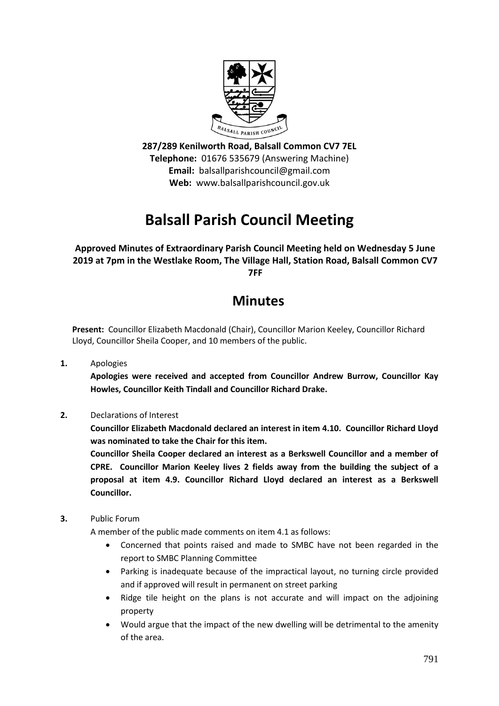

**287/289 Kenilworth Road, Balsall Common CV7 7EL Telephone:** 01676 535679 (Answering Machine) **Email:** balsallparishcouncil@gmail.com **Web:** www.balsallparishcouncil.gov.uk

# **Balsall Parish Council Meeting**

**Approved Minutes of Extraordinary Parish Council Meeting held on Wednesday 5 June 2019 at 7pm in the Westlake Room, The Village Hall, Station Road, Balsall Common CV7 7FF**

## **Minutes**

**Present:** Councillor Elizabeth Macdonald (Chair), Councillor Marion Keeley, Councillor Richard Lloyd, Councillor Sheila Cooper, and 10 members of the public.

**1.** Apologies

**Apologies were received and accepted from Councillor Andrew Burrow, Councillor Kay Howles, Councillor Keith Tindall and Councillor Richard Drake.**

**2.** Declarations of Interest

**Councillor Elizabeth Macdonald declared an interest in item 4.10. Councillor Richard Lloyd was nominated to take the Chair for this item.**

**Councillor Sheila Cooper declared an interest as a Berkswell Councillor and a member of CPRE. Councillor Marion Keeley lives 2 fields away from the building the subject of a proposal at item 4.9. Councillor Richard Lloyd declared an interest as a Berkswell Councillor.**

**3.** Public Forum

A member of the public made comments on item 4.1 as follows:

- Concerned that points raised and made to SMBC have not been regarded in the report to SMBC Planning Committee
- Parking is inadequate because of the impractical layout, no turning circle provided and if approved will result in permanent on street parking
- Ridge tile height on the plans is not accurate and will impact on the adjoining property
- Would argue that the impact of the new dwelling will be detrimental to the amenity of the area.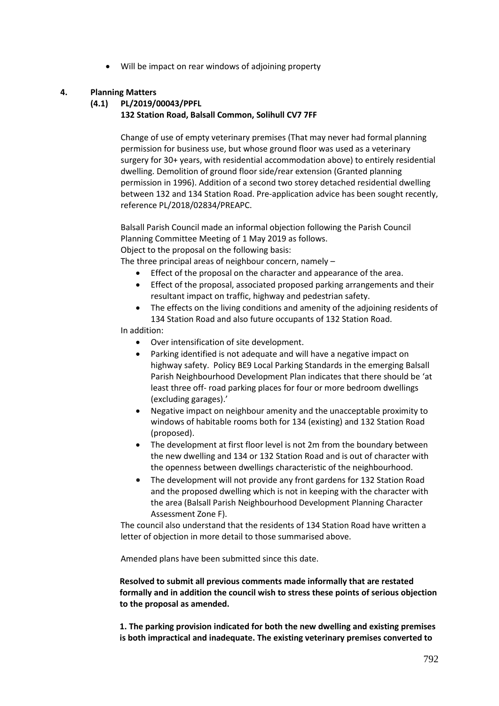Will be impact on rear windows of adjoining property

### **4. Planning Matters**

#### **(4.1) PL/2019/00043/PPFL**

### **132 Station Road, Balsall Common, Solihull CV7 7FF**

Change of use of empty veterinary premises (That may never had formal planning permission for business use, but whose ground floor was used as a veterinary surgery for 30+ years, with residential accommodation above) to entirely residential dwelling. Demolition of ground floor side/rear extension (Granted planning permission in 1996). Addition of a second two storey detached residential dwelling between 132 and 134 Station Road. Pre-application advice has been sought recently, reference PL/2018/02834/PREAPC.

Balsall Parish Council made an informal objection following the Parish Council Planning Committee Meeting of 1 May 2019 as follows. Object to the proposal on the following basis:

The three principal areas of neighbour concern, namely –

- Effect of the proposal on the character and appearance of the area.
- Effect of the proposal, associated proposed parking arrangements and their resultant impact on traffic, highway and pedestrian safety.
- The effects on the living conditions and amenity of the adjoining residents of 134 Station Road and also future occupants of 132 Station Road.

#### In addition:

- Over intensification of site development.
- Parking identified is not adequate and will have a negative impact on highway safety. Policy BE9 Local Parking Standards in the emerging Balsall Parish Neighbourhood Development Plan indicates that there should be 'at least three off- road parking places for four or more bedroom dwellings (excluding garages).'
- Negative impact on neighbour amenity and the unacceptable proximity to windows of habitable rooms both for 134 (existing) and 132 Station Road (proposed).
- The development at first floor level is not 2m from the boundary between the new dwelling and 134 or 132 Station Road and is out of character with the openness between dwellings characteristic of the neighbourhood.
- The development will not provide any front gardens for 132 Station Road and the proposed dwelling which is not in keeping with the character with the area (Balsall Parish Neighbourhood Development Planning Character Assessment Zone F).

The council also understand that the residents of 134 Station Road have written a letter of objection in more detail to those summarised above.

Amended plans have been submitted since this date.

**Resolved to submit all previous comments made informally that are restated formally and in addition the council wish to stress these points of serious objection to the proposal as amended.**

**1. The parking provision indicated for both the new dwelling and existing premises is both impractical and inadequate. The existing veterinary premises converted to**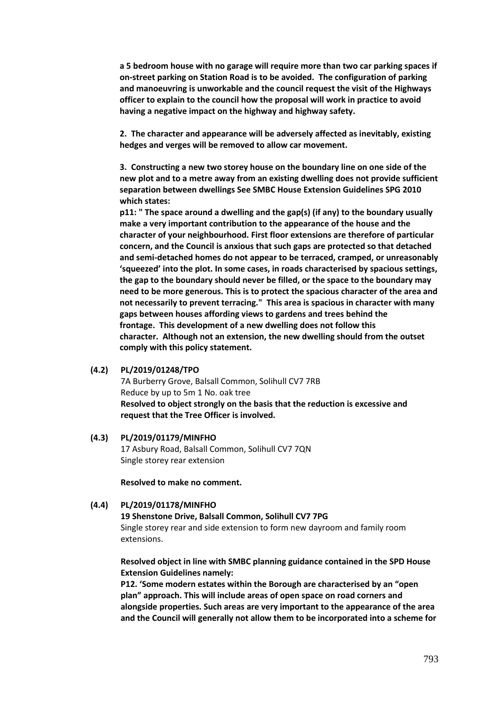**a 5 bedroom house with no garage will require more than two car parking spaces if on-street parking on Station Road is to be avoided. The configuration of parking and manoeuvring is unworkable and the council request the visit of the Highways officer to explain to the council how the proposal will work in practice to avoid having a negative impact on the highway and highway safety.**

**2. The character and appearance will be adversely affected as inevitably, existing hedges and verges will be removed to allow car movement.**

**3. Constructing a new two storey house on the boundary line on one side of the new plot and to a metre away from an existing dwelling does not provide sufficient separation between dwellings See SMBC House Extension Guidelines SPG 2010 which states:**

**p11: " The space around a dwelling and the gap(s) (if any) to the boundary usually make a very important contribution to the appearance of the house and the character of your neighbourhood. First floor extensions are therefore of particular concern, and the Council is anxious that such gaps are protected so that detached and semi-detached homes do not appear to be terraced, cramped, or unreasonably 'squeezed' into the plot. In some cases, in roads characterised by spacious settings, the gap to the boundary should never be filled, or the space to the boundary may need to be more generous. This is to protect the spacious character of the area and not necessarily to prevent terracing." This area is spacious in character with many gaps between houses affording views to gardens and trees behind the frontage. This development of a new dwelling does not follow this character. Although not an extension, the new dwelling should from the outset comply with this policy statement.**

#### **(4.2) PL/2019/01248/TPO**

7A Burberry Grove, Balsall Common, Solihull CV7 7RB Reduce by up to 5m 1 No. oak tree **Resolved to object strongly on the basis that the reduction is excessive and request that the Tree Officer is involved.**

#### **(4.3) PL/2019/01179/MINFHO**

17 Asbury Road, Balsall Common, Solihull CV7 7QN Single storey rear extension

**Resolved to make no comment.**

#### **(4.4) PL/2019/01178/MINFHO**

#### **19 Shenstone Drive, Balsall Common, Solihull CV7 7PG**

Single storey rear and side extension to form new dayroom and family room extensions.

**Resolved object in line with SMBC planning guidance contained in the SPD House Extension Guidelines namely:** 

**P12. 'Some modern estates within the Borough are characterised by an "open plan" approach. This will include areas of open space on road corners and alongside properties. Such areas are very important to the appearance of the area and the Council will generally not allow them to be incorporated into a scheme for**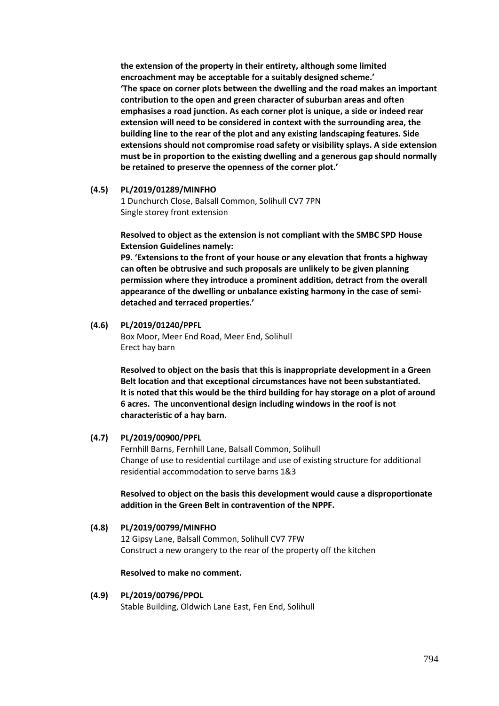**the extension of the property in their entirety, although some limited encroachment may be acceptable for a suitably designed scheme.' 'The space on corner plots between the dwelling and the road makes an important contribution to the open and green character of suburban areas and often emphasises a road junction. As each corner plot is unique, a side or indeed rear extension will need to be considered in context with the surrounding area, the building line to the rear of the plot and any existing landscaping features. Side extensions should not compromise road safety or visibility splays. A side extension must be in proportion to the existing dwelling and a generous gap should normally be retained to preserve the openness of the corner plot.'**

#### **(4.5) PL/2019/01289/MINFHO**

1 Dunchurch Close, Balsall Common, Solihull CV7 7PN Single storey front extension

**Resolved to object as the extension is not compliant with the SMBC SPD House Extension Guidelines namely:**

**P9. 'Extensions to the front of your house or any elevation that fronts a highway can often be obtrusive and such proposals are unlikely to be given planning permission where they introduce a prominent addition, detract from the overall appearance of the dwelling or unbalance existing harmony in the case of semidetached and terraced properties.'**

#### **(4.6) PL/2019/01240/PPFL**

Box Moor, Meer End Road, Meer End, Solihull Erect hay barn

**Resolved to object on the basis that this is inappropriate development in a Green Belt location and that exceptional circumstances have not been substantiated. It is noted that this would be the third building for hay storage on a plot of around 6 acres. The unconventional design including windows in the roof is not characteristic of a hay barn.**

#### **(4.7) PL/2019/00900/PPFL**

Fernhill Barns, Fernhill Lane, Balsall Common, Solihull Change of use to residential curtilage and use of existing structure for additional residential accommodation to serve barns 1&3

#### **Resolved to object on the basis this development would cause a disproportionate addition in the Green Belt in contravention of the NPPF.**

**(4.8) PL/2019/00799/MINFHO** 12 Gipsy Lane, Balsall Common, Solihull CV7 7FW Construct a new orangery to the rear of the property off the kitchen

#### **Resolved to make no comment.**

**(4.9) PL/2019/00796/PPOL** Stable Building, Oldwich Lane East, Fen End, Solihull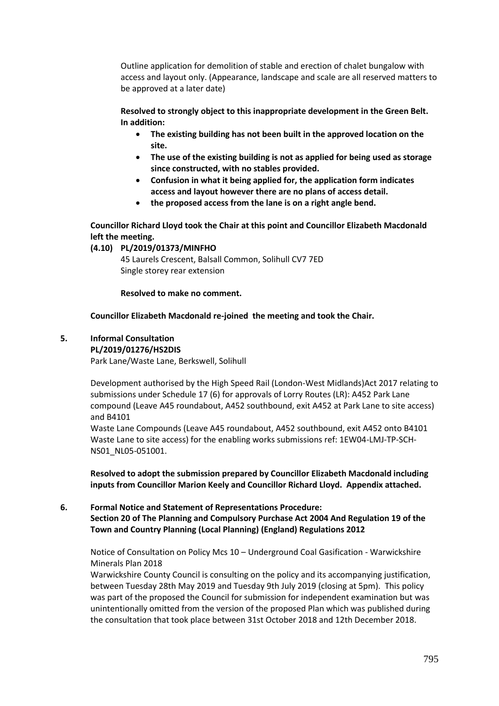Outline application for demolition of stable and erection of chalet bungalow with access and layout only. (Appearance, landscape and scale are all reserved matters to be approved at a later date)

**Resolved to strongly object to this inappropriate development in the Green Belt. In addition:**

- **The existing building has not been built in the approved location on the site.**
- **The use of the existing building is not as applied for being used as storage since constructed, with no stables provided.**
- **Confusion in what it being applied for, the application form indicates access and layout however there are no plans of access detail.**
- **the proposed access from the lane is on a right angle bend.**

**Councillor Richard Lloyd took the Chair at this point and Councillor Elizabeth Macdonald left the meeting.**

#### **(4.10) PL/2019/01373/MINFHO**

45 Laurels Crescent, Balsall Common, Solihull CV7 7ED Single storey rear extension

#### **Resolved to make no comment.**

#### **Councillor Elizabeth Macdonald re-joined the meeting and took the Chair.**

#### **5. Informal Consultation**

#### **PL/2019/01276/HS2DIS**

Park Lane/Waste Lane, Berkswell, Solihull

Development authorised by the High Speed Rail (London-West Midlands)Act 2017 relating to submissions under Schedule 17 (6) for approvals of Lorry Routes (LR): A452 Park Lane compound (Leave A45 roundabout, A452 southbound, exit A452 at Park Lane to site access) and B4101

Waste Lane Compounds (Leave A45 roundabout, A452 southbound, exit A452 onto B4101 Waste Lane to site access) for the enabling works submissions ref: 1EW04-LMJ-TP-SCH-NS01\_NL05-051001.

**Resolved to adopt the submission prepared by Councillor Elizabeth Macdonald including inputs from Councillor Marion Keely and Councillor Richard Lloyd. Appendix attached.**

#### **6. Formal Notice and Statement of Representations Procedure: Section 20 of The Planning and Compulsory Purchase Act 2004 And Regulation 19 of the Town and Country Planning (Local Planning) (England) Regulations 2012**

Notice of Consultation on Policy Mcs 10 – Underground Coal Gasification - Warwickshire Minerals Plan 2018

Warwickshire County Council is consulting on the policy and its accompanying justification, between Tuesday 28th May 2019 and Tuesday 9th July 2019 (closing at 5pm). This policy was part of the proposed the Council for submission for independent examination but was unintentionally omitted from the version of the proposed Plan which was published during the consultation that took place between 31st October 2018 and 12th December 2018.